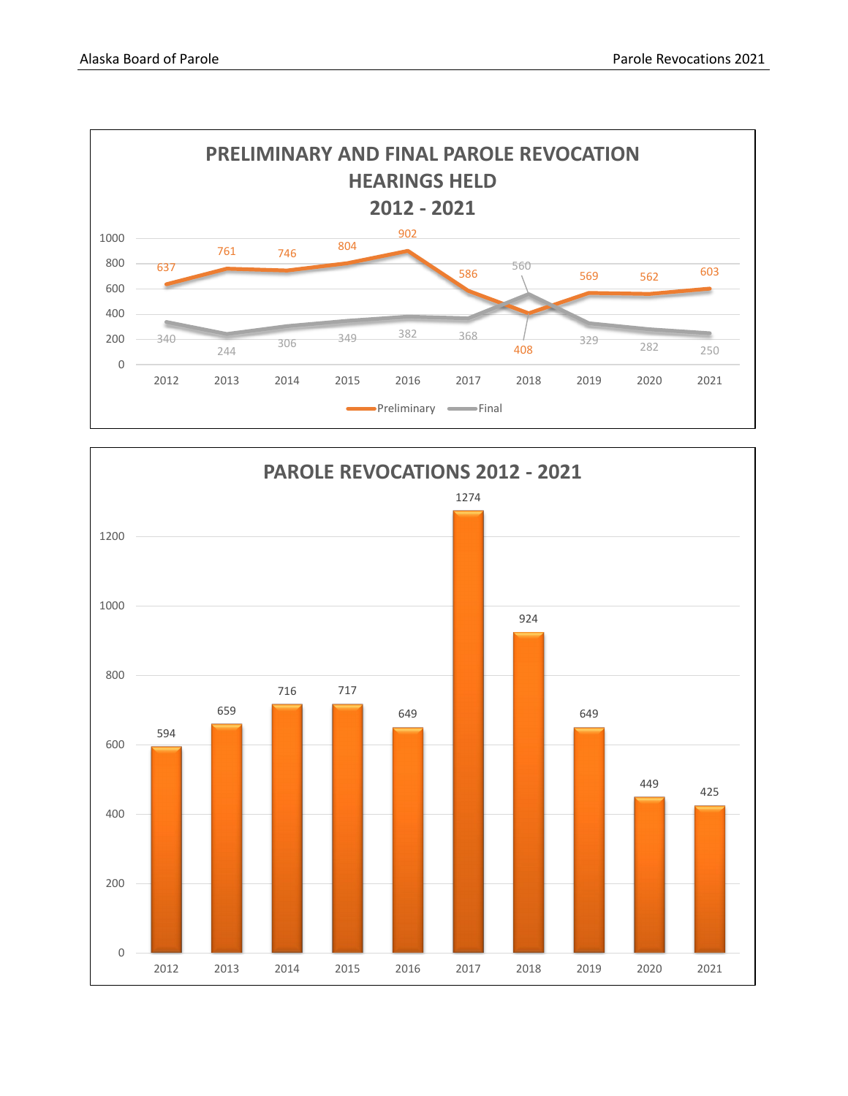

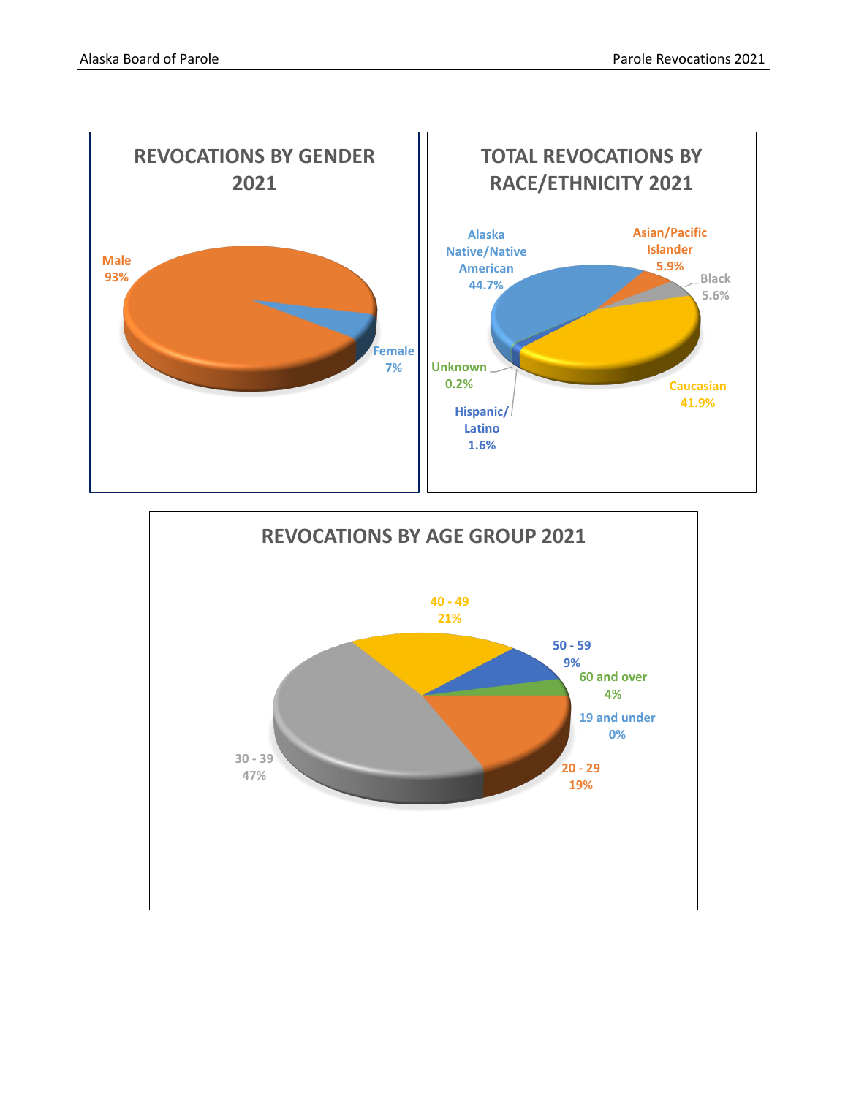

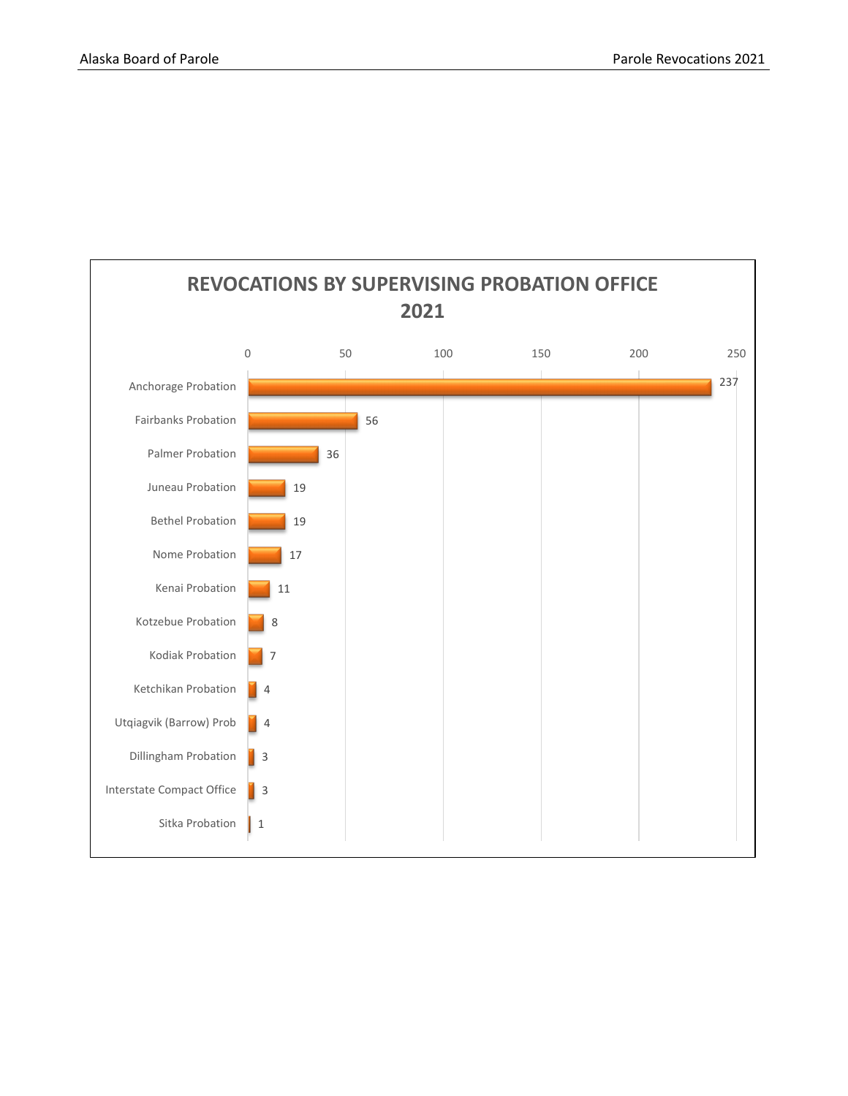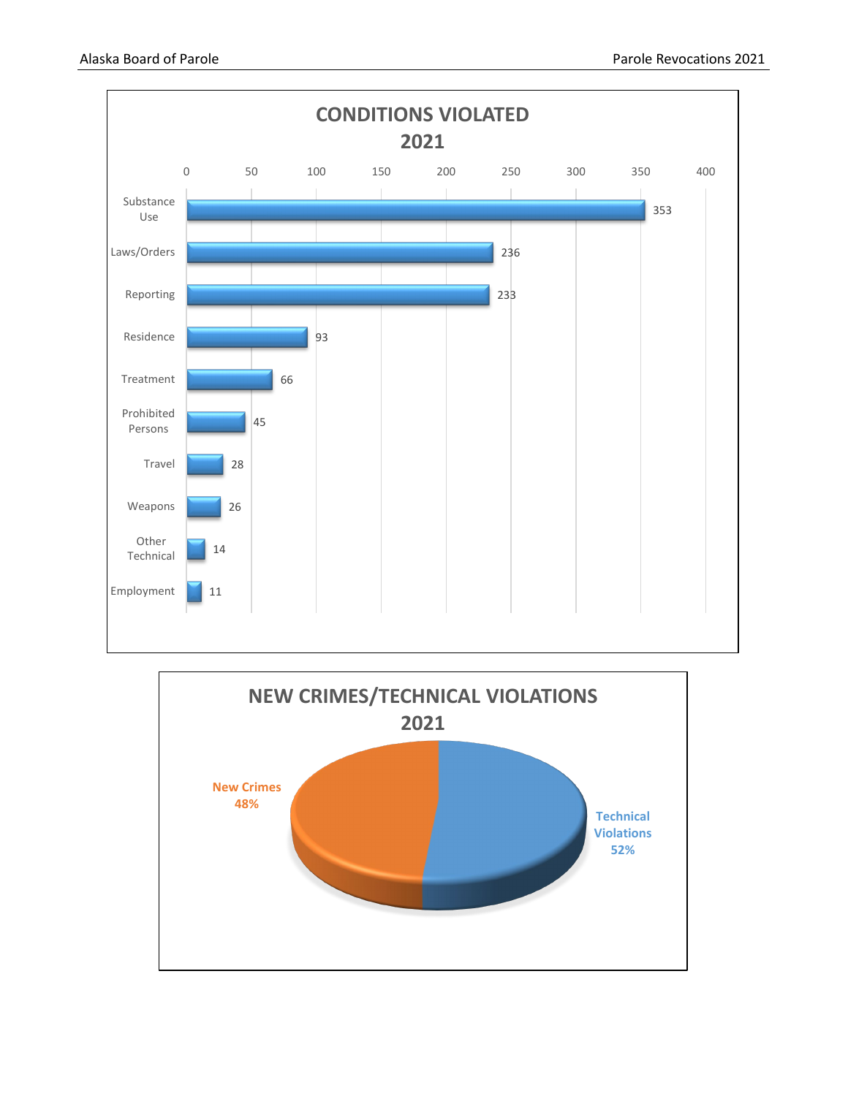